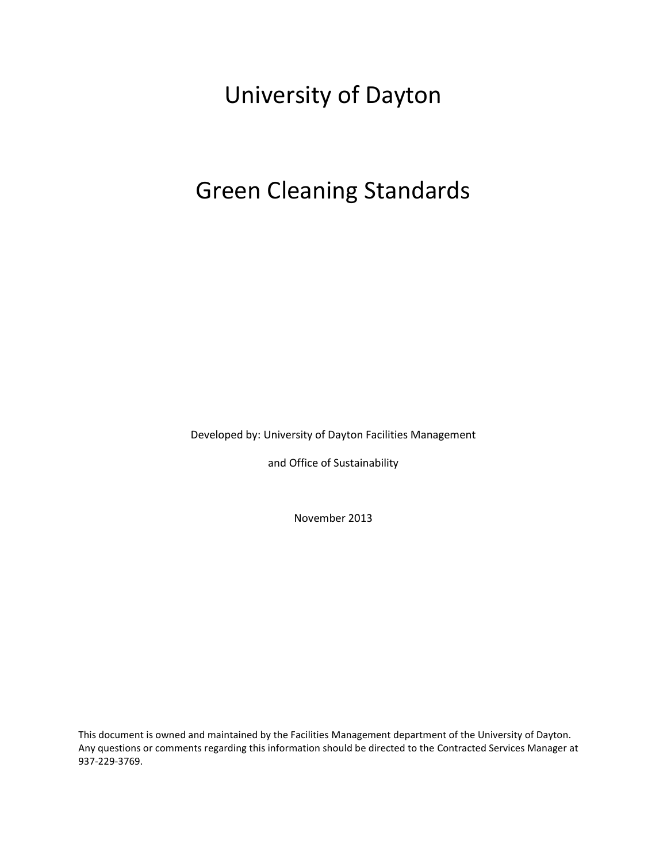University of Dayton

# Green Cleaning Standards

Developed by: University of Dayton Facilities Management

and Office of Sustainability

November 2013

This document is owned and maintained by the Facilities Management department of the University of Dayton. Any questions or comments regarding this information should be directed to the Contracted Services Manager at 937-229-3769.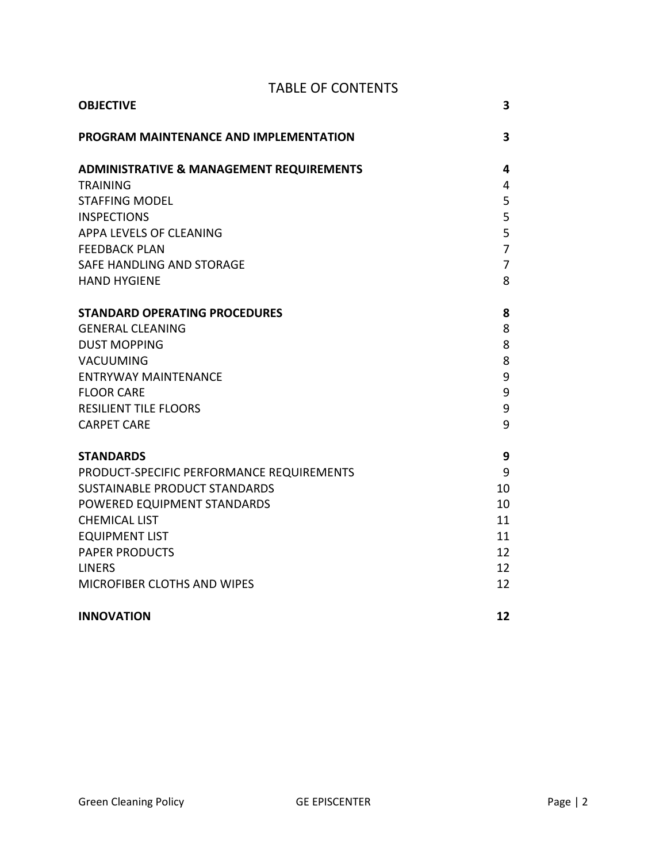## TABLE OF CONTENTS

| <b>OBJECTIVE</b>                                    | 3                                |
|-----------------------------------------------------|----------------------------------|
| <b>PROGRAM MAINTENANCE AND IMPLEMENTATION</b>       | 3                                |
| <b>ADMINISTRATIVE &amp; MANAGEMENT REQUIREMENTS</b> | $\overline{\mathbf{4}}$          |
| <b>TRAINING</b>                                     | $\overline{4}$                   |
| <b>STAFFING MODEL</b>                               | 5                                |
| <b>INSPECTIONS</b>                                  | 5                                |
| APPA LEVELS OF CLEANING                             | 5                                |
| <b>FEEDBACK PLAN</b><br>SAFE HANDLING AND STORAGE   | $\overline{7}$<br>$\overline{7}$ |
| <b>HAND HYGIENE</b>                                 | 8                                |
|                                                     |                                  |
| <b>STANDARD OPERATING PROCEDURES</b>                | 8                                |
| <b>GENERAL CLEANING</b>                             | 8                                |
| <b>DUST MOPPING</b>                                 | 8                                |
| VACUUMING                                           | 8                                |
| <b>ENTRYWAY MAINTENANCE</b>                         | 9                                |
| <b>FLOOR CARE</b>                                   | 9                                |
| <b>RESILIENT TILE FLOORS</b>                        | 9                                |
| <b>CARPET CARE</b>                                  | 9                                |
| <b>STANDARDS</b>                                    | 9                                |
| PRODUCT-SPECIFIC PERFORMANCE REQUIREMENTS           | 9                                |
| SUSTAINABLE PRODUCT STANDARDS                       | 10                               |
| POWERED EQUIPMENT STANDARDS                         | 10                               |
| <b>CHEMICAL LIST</b>                                | 11                               |
| <b>EQUIPMENT LIST</b>                               | 11                               |
| <b>PAPER PRODUCTS</b>                               | 12                               |
| <b>LINERS</b>                                       | 12                               |
| MICROFIBER CLOTHS AND WIPES                         | 12                               |
| <b>INNOVATION</b>                                   | 12                               |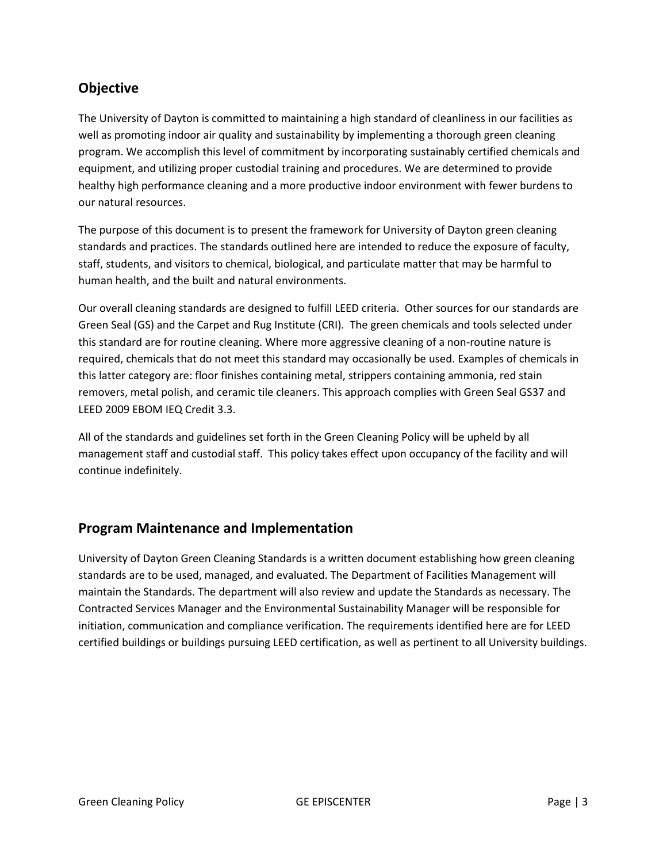# **Objective**

The University of Dayton is committed to maintaining a high standard of cleanliness in our facilities as well as promoting indoor air quality and sustainability by implementing a thorough green cleaning program. We accomplish this level of commitment by incorporating sustainably certified chemicals and equipment, and utilizing proper custodial training and procedures. We are determined to provide healthy high performance cleaning and a more productive indoor environment with fewer burdens to our natural resources.

The purpose of this document is to present the framework for University of Dayton green cleaning standards and practices. The standards outlined here are intended to reduce the exposure of faculty, staff, students, and visitors to chemical, biological, and particulate matter that may be harmful to human health, and the built and natural environments.

Our overall cleaning standards are designed to fulfill LEED criteria. Other sources for our standards are Green Seal (GS) and the Carpet and Rug Institute (CRI). The green chemicals and tools selected under this standard are for routine cleaning. Where more aggressive cleaning of a non-routine nature is required, chemicals that do not meet this standard may occasionally be used. Examples of chemicals in this latter category are: floor finishes containing metal, strippers containing ammonia, red stain removers, metal polish, and ceramic tile cleaners. This approach complies with Green Seal GS37 and LEED 2009 EBOM IEQ Credit 3.3.

All of the standards and guidelines set forth in the Green Cleaning Policy will be upheld by all management staff and custodial staff. This policy takes effect upon occupancy of the facility and will continue indefinitely.

# **Program Maintenance and Implementation**

University of Dayton Green Cleaning Standards is a written document establishing how green cleaning standards are to be used, managed, and evaluated. The Department of Facilities Management will maintain the Standards. The department will also review and update the Standards as necessary. The Contracted Services Manager and the Environmental Sustainability Manager will be responsible for initiation, communication and compliance verification. The requirements identified here are for LEED certified buildings or buildings pursuing LEED certification, as well as pertinent to all University buildings.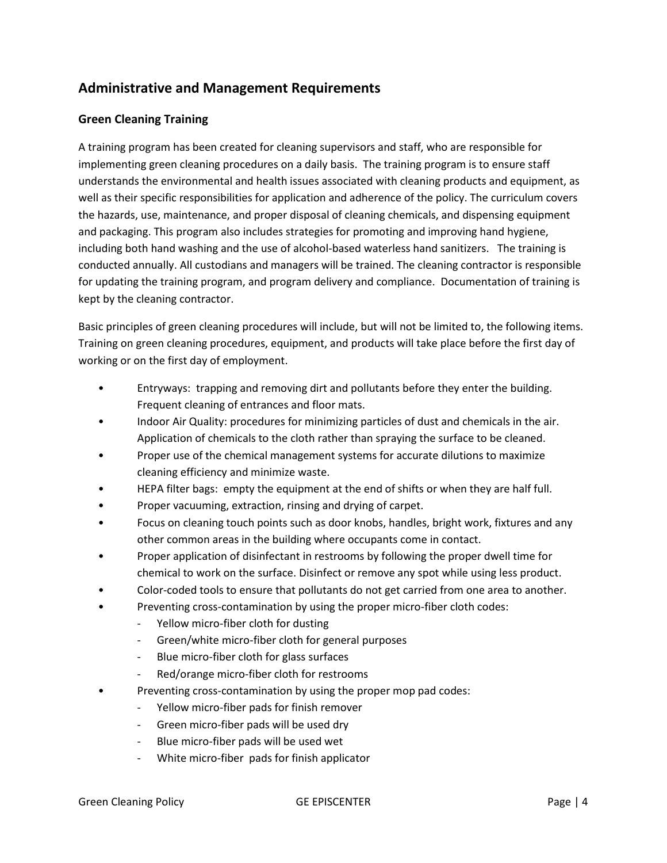# **Administrative and Management Requirements**

### **Green Cleaning Training**

A training program has been created for cleaning supervisors and staff, who are responsible for implementing green cleaning procedures on a daily basis. The training program is to ensure staff understands the environmental and health issues associated with cleaning products and equipment, as well as their specific responsibilities for application and adherence of the policy. The curriculum covers the hazards, use, maintenance, and proper disposal of cleaning chemicals, and dispensing equipment and packaging. This program also includes strategies for promoting and improving hand hygiene, including both hand washing and the use of alcohol-based waterless hand sanitizers. The training is conducted annually. All custodians and managers will be trained. The cleaning contractor is responsible for updating the training program, and program delivery and compliance. Documentation of training is kept by the cleaning contractor.

Basic principles of green cleaning procedures will include, but will not be limited to, the following items. Training on green cleaning procedures, equipment, and products will take place before the first day of working or on the first day of employment.

- Entryways: trapping and removing dirt and pollutants before they enter the building. Frequent cleaning of entrances and floor mats.
- Indoor Air Quality: procedures for minimizing particles of dust and chemicals in the air. Application of chemicals to the cloth rather than spraying the surface to be cleaned.
- Proper use of the chemical management systems for accurate dilutions to maximize cleaning efficiency and minimize waste.
- HEPA filter bags: empty the equipment at the end of shifts or when they are half full.
- Proper vacuuming, extraction, rinsing and drying of carpet.
- Focus on cleaning touch points such as door knobs, handles, bright work, fixtures and any other common areas in the building where occupants come in contact.
- Proper application of disinfectant in restrooms by following the proper dwell time for chemical to work on the surface. Disinfect or remove any spot while using less product.
- Color-coded tools to ensure that pollutants do not get carried from one area to another.
- Preventing cross-contamination by using the proper micro-fiber cloth codes:
	- Yellow micro-fiber cloth for dusting
	- Green/white micro-fiber cloth for general purposes
	- Blue micro-fiber cloth for glass surfaces
	- Red/orange micro-fiber cloth for restrooms
- Preventing cross-contamination by using the proper mop pad codes:
	- Yellow micro-fiber pads for finish remover
	- Green micro-fiber pads will be used dry
	- Blue micro-fiber pads will be used wet
	- White micro-fiber pads for finish applicator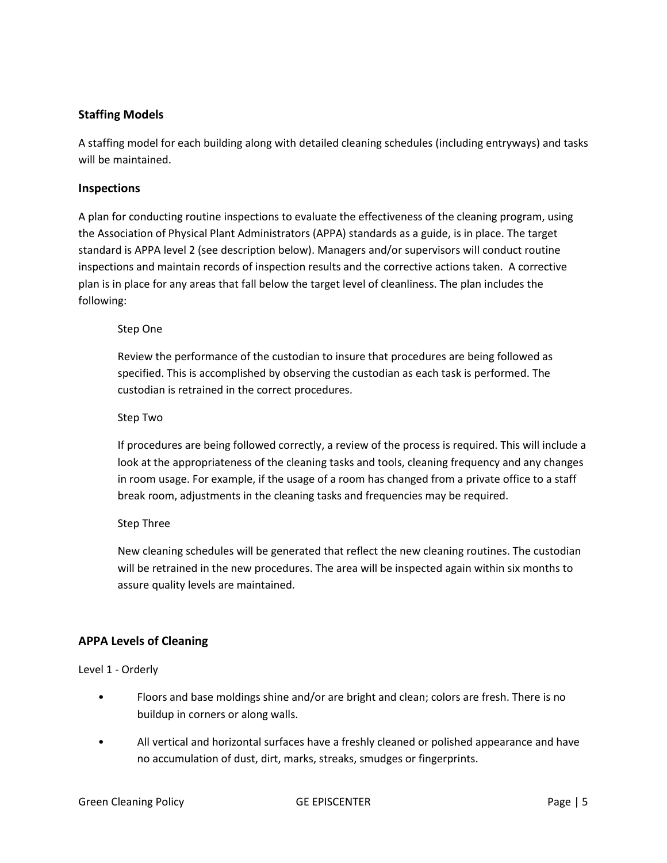#### **Staffing Models**

A staffing model for each building along with detailed cleaning schedules (including entryways) and tasks will be maintained.

#### **Inspections**

A plan for conducting routine inspections to evaluate the effectiveness of the cleaning program, using the Association of Physical Plant Administrators (APPA) standards as a guide, is in place. The target standard is APPA level 2 (see description below). Managers and/or supervisors will conduct routine inspections and maintain records of inspection results and the corrective actions taken. A corrective plan is in place for any areas that fall below the target level of cleanliness. The plan includes the following:

#### Step One

Review the performance of the custodian to insure that procedures are being followed as specified. This is accomplished by observing the custodian as each task is performed. The custodian is retrained in the correct procedures.

#### Step Two

If procedures are being followed correctly, a review of the process is required. This will include a look at the appropriateness of the cleaning tasks and tools, cleaning frequency and any changes in room usage. For example, if the usage of a room has changed from a private office to a staff break room, adjustments in the cleaning tasks and frequencies may be required.

#### Step Three

New cleaning schedules will be generated that reflect the new cleaning routines. The custodian will be retrained in the new procedures. The area will be inspected again within six months to assure quality levels are maintained.

#### **APPA Levels of Cleaning**

Level 1 - Orderly

- Floors and base moldings shine and/or are bright and clean; colors are fresh. There is no buildup in corners or along walls.
- All vertical and horizontal surfaces have a freshly cleaned or polished appearance and have no accumulation of dust, dirt, marks, streaks, smudges or fingerprints.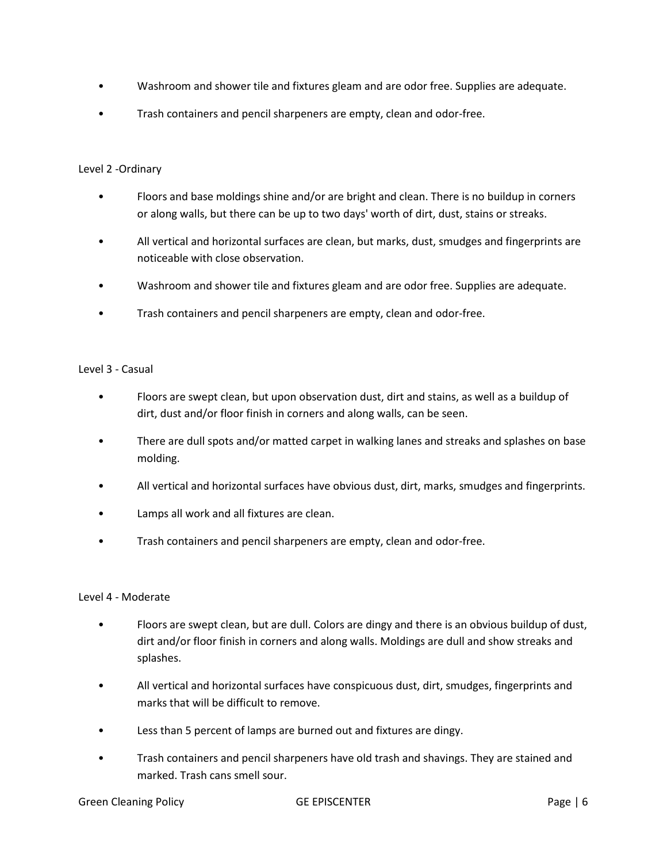- Washroom and shower tile and fixtures gleam and are odor free. Supplies are adequate.
- Trash containers and pencil sharpeners are empty, clean and odor-free.

#### Level 2 -Ordinary

- Floors and base moldings shine and/or are bright and clean. There is no buildup in corners or along walls, but there can be up to two days' worth of dirt, dust, stains or streaks.
- All vertical and horizontal surfaces are clean, but marks, dust, smudges and fingerprints are noticeable with close observation.
- Washroom and shower tile and fixtures gleam and are odor free. Supplies are adequate.
- Trash containers and pencil sharpeners are empty, clean and odor-free.

#### Level 3 - Casual

- Floors are swept clean, but upon observation dust, dirt and stains, as well as a buildup of dirt, dust and/or floor finish in corners and along walls, can be seen.
- There are dull spots and/or matted carpet in walking lanes and streaks and splashes on base molding.
- All vertical and horizontal surfaces have obvious dust, dirt, marks, smudges and fingerprints.
- Lamps all work and all fixtures are clean.
- Trash containers and pencil sharpeners are empty, clean and odor-free.

#### Level 4 - Moderate

- Floors are swept clean, but are dull. Colors are dingy and there is an obvious buildup of dust, dirt and/or floor finish in corners and along walls. Moldings are dull and show streaks and splashes.
- All vertical and horizontal surfaces have conspicuous dust, dirt, smudges, fingerprints and marks that will be difficult to remove.
- Less than 5 percent of lamps are burned out and fixtures are dingy.
- Trash containers and pencil sharpeners have old trash and shavings. They are stained and marked. Trash cans smell sour.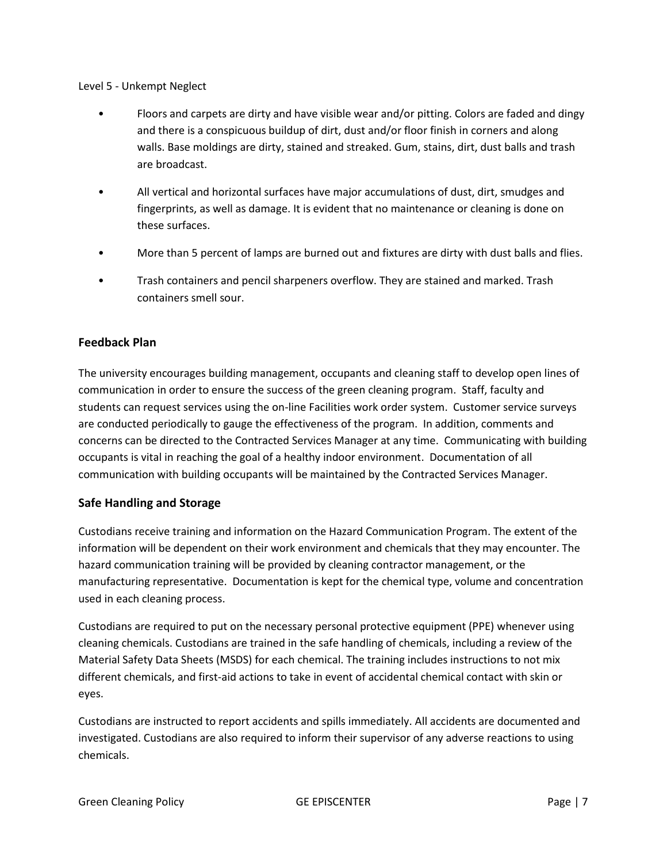Level 5 - Unkempt Neglect

- Floors and carpets are dirty and have visible wear and/or pitting. Colors are faded and dingy and there is a conspicuous buildup of dirt, dust and/or floor finish in corners and along walls. Base moldings are dirty, stained and streaked. Gum, stains, dirt, dust balls and trash are broadcast.
- All vertical and horizontal surfaces have major accumulations of dust, dirt, smudges and fingerprints, as well as damage. It is evident that no maintenance or cleaning is done on these surfaces.
- More than 5 percent of lamps are burned out and fixtures are dirty with dust balls and flies.
- Trash containers and pencil sharpeners overflow. They are stained and marked. Trash containers smell sour.

#### **Feedback Plan**

The university encourages building management, occupants and cleaning staff to develop open lines of communication in order to ensure the success of the green cleaning program. Staff, faculty and students can request services using the on-line Facilities work order system. Customer service surveys are conducted periodically to gauge the effectiveness of the program. In addition, comments and concerns can be directed to the Contracted Services Manager at any time. Communicating with building occupants is vital in reaching the goal of a healthy indoor environment. Documentation of all communication with building occupants will be maintained by the Contracted Services Manager.

#### **Safe Handling and Storage**

Custodians receive training and information on the Hazard Communication Program. The extent of the information will be dependent on their work environment and chemicals that they may encounter. The hazard communication training will be provided by cleaning contractor management, or the manufacturing representative. Documentation is kept for the chemical type, volume and concentration used in each cleaning process.

Custodians are required to put on the necessary personal protective equipment (PPE) whenever using cleaning chemicals. Custodians are trained in the safe handling of chemicals, including a review of the Material Safety Data Sheets (MSDS) for each chemical. The training includes instructions to not mix different chemicals, and first-aid actions to take in event of accidental chemical contact with skin or eyes.

Custodians are instructed to report accidents and spills immediately. All accidents are documented and investigated. Custodians are also required to inform their supervisor of any adverse reactions to using chemicals.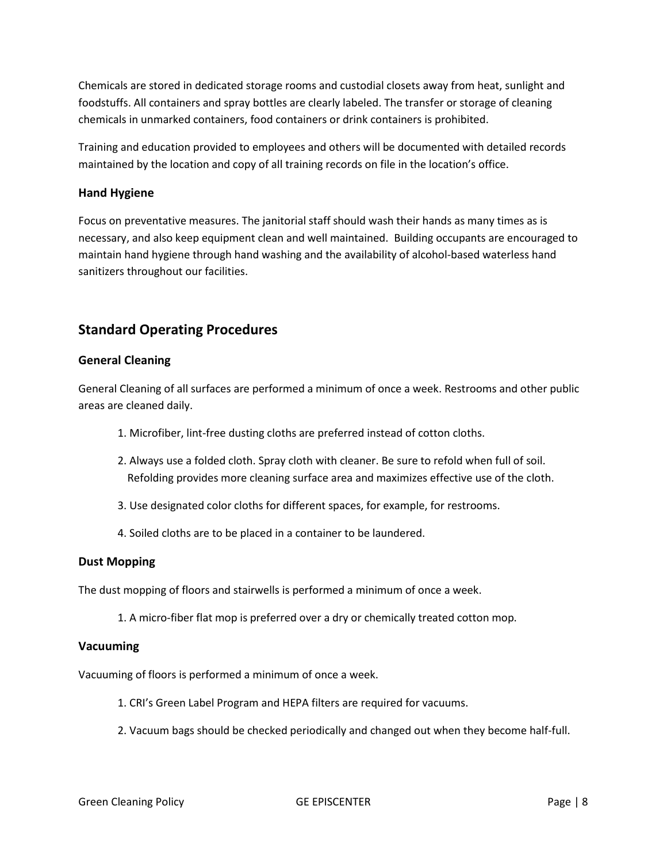Chemicals are stored in dedicated storage rooms and custodial closets away from heat, sunlight and foodstuffs. All containers and spray bottles are clearly labeled. The transfer or storage of cleaning chemicals in unmarked containers, food containers or drink containers is prohibited.

Training and education provided to employees and others will be documented with detailed records maintained by the location and copy of all training records on file in the location's office.

#### **Hand Hygiene**

Focus on preventative measures. The janitorial staff should wash their hands as many times as is necessary, and also keep equipment clean and well maintained. Building occupants are encouraged to maintain hand hygiene through hand washing and the availability of alcohol-based waterless hand sanitizers throughout our facilities.

# **Standard Operating Procedures**

#### **General Cleaning**

General Cleaning of all surfaces are performed a minimum of once a week. Restrooms and other public areas are cleaned daily.

- 1. Microfiber, lint-free dusting cloths are preferred instead of cotton cloths.
- 2. Always use a folded cloth. Spray cloth with cleaner. Be sure to refold when full of soil. Refolding provides more cleaning surface area and maximizes effective use of the cloth.
- 3. Use designated color cloths for different spaces, for example, for restrooms.
- 4. Soiled cloths are to be placed in a container to be laundered.

#### **Dust Mopping**

The dust mopping of floors and stairwells is performed a minimum of once a week.

1. A micro-fiber flat mop is preferred over a dry or chemically treated cotton mop.

#### **Vacuuming**

Vacuuming of floors is performed a minimum of once a week.

- 1. CRI's Green Label Program and HEPA filters are required for vacuums.
- 2. Vacuum bags should be checked periodically and changed out when they become half-full.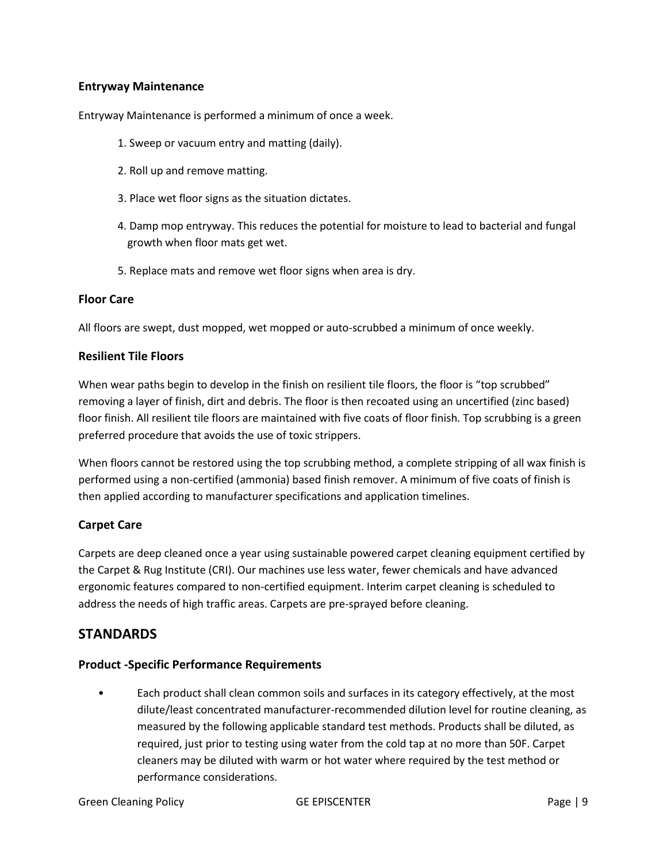#### **Entryway Maintenance**

Entryway Maintenance is performed a minimum of once a week.

- 1. Sweep or vacuum entry and matting (daily).
- 2. Roll up and remove matting.
- 3. Place wet floor signs as the situation dictates.
- 4. Damp mop entryway. This reduces the potential for moisture to lead to bacterial and fungal growth when floor mats get wet.
- 5. Replace mats and remove wet floor signs when area is dry.

#### **Floor Care**

All floors are swept, dust mopped, wet mopped or auto-scrubbed a minimum of once weekly.

#### **Resilient Tile Floors**

When wear paths begin to develop in the finish on resilient tile floors, the floor is "top scrubbed" removing a layer of finish, dirt and debris. The floor is then recoated using an uncertified (zinc based) floor finish. All resilient tile floors are maintained with five coats of floor finish. Top scrubbing is a green preferred procedure that avoids the use of toxic strippers.

When floors cannot be restored using the top scrubbing method, a complete stripping of all wax finish is performed using a non-certified (ammonia) based finish remover. A minimum of five coats of finish is then applied according to manufacturer specifications and application timelines.

#### **Carpet Care**

Carpets are deep cleaned once a year using sustainable powered carpet cleaning equipment certified by the Carpet & Rug Institute (CRI). Our machines use less water, fewer chemicals and have advanced ergonomic features compared to non-certified equipment. Interim carpet cleaning is scheduled to address the needs of high traffic areas. Carpets are pre-sprayed before cleaning.

## **STANDARDS**

#### **Product -Specific Performance Requirements**

• Each product shall clean common soils and surfaces in its category effectively, at the most dilute/least concentrated manufacturer-recommended dilution level for routine cleaning, as measured by the following applicable standard test methods. Products shall be diluted, as required, just prior to testing using water from the cold tap at no more than 50F. Carpet cleaners may be diluted with warm or hot water where required by the test method or performance considerations.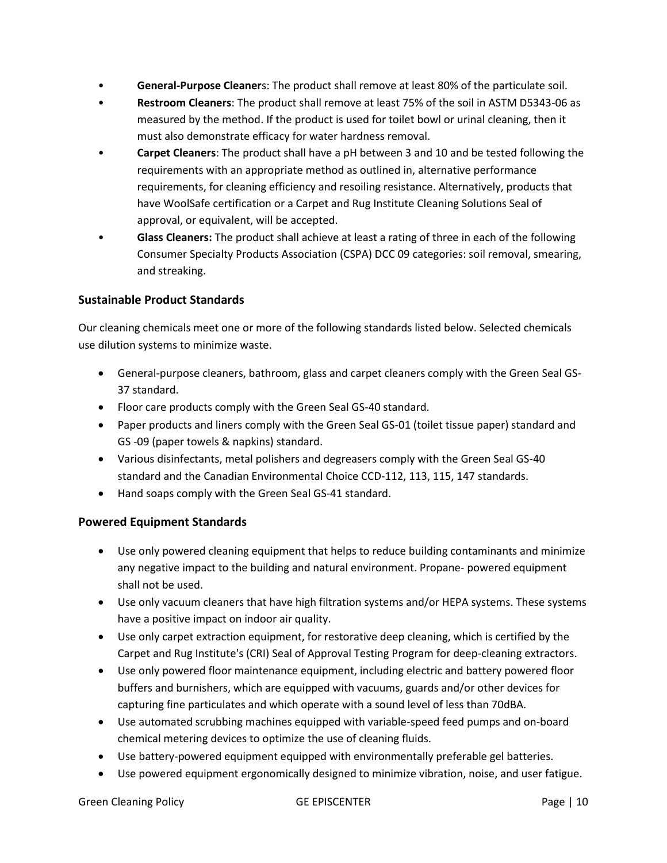- **General-Purpose Cleaner**s: The product shall remove at least 80% of the particulate soil.
- **Restroom Cleaners**: The product shall remove at least 75% of the soil in ASTM D5343-06 as measured by the method. If the product is used for toilet bowl or urinal cleaning, then it must also demonstrate efficacy for water hardness removal.
- **Carpet Cleaners**: The product shall have a pH between 3 and 10 and be tested following the requirements with an appropriate method as outlined in, alternative performance requirements, for cleaning efficiency and resoiling resistance. Alternatively, products that have WoolSafe certification or a Carpet and Rug Institute Cleaning Solutions Seal of approval, or equivalent, will be accepted.
- **Glass Cleaners:** The product shall achieve at least a rating of three in each of the following Consumer Specialty Products Association (CSPA) DCC 09 categories: soil removal, smearing, and streaking.

## **Sustainable Product Standards**

Our cleaning chemicals meet one or more of the following standards listed below. Selected chemicals use dilution systems to minimize waste.

- General-purpose cleaners, bathroom, glass and carpet cleaners comply with the Green Seal GS-37 standard.
- Floor care products comply with the Green Seal GS-40 standard.
- Paper products and liners comply with the Green Seal GS-01 (toilet tissue paper) standard and GS -09 (paper towels & napkins) standard.
- Various disinfectants, metal polishers and degreasers comply with the Green Seal GS-40 standard and the Canadian Environmental Choice CCD-112, 113, 115, 147 standards.
- Hand soaps comply with the Green Seal GS-41 standard.

#### **Powered Equipment Standards**

- Use only powered cleaning equipment that helps to reduce building contaminants and minimize any negative impact to the building and natural environment. Propane- powered equipment shall not be used.
- Use only vacuum cleaners that have high filtration systems and/or HEPA systems. These systems have a positive impact on indoor air quality.
- Use only carpet extraction equipment, for restorative deep cleaning, which is certified by the Carpet and Rug Institute's (CRI) Seal of Approval Testing Program for deep-cleaning extractors.
- Use only powered floor maintenance equipment, including electric and battery powered floor buffers and burnishers, which are equipped with vacuums, guards and/or other devices for capturing fine particulates and which operate with a sound level of less than 70dBA.
- Use automated scrubbing machines equipped with variable-speed feed pumps and on-board chemical metering devices to optimize the use of cleaning fluids.
- Use battery-powered equipment equipped with environmentally preferable gel batteries.
- Use powered equipment ergonomically designed to minimize vibration, noise, and user fatigue.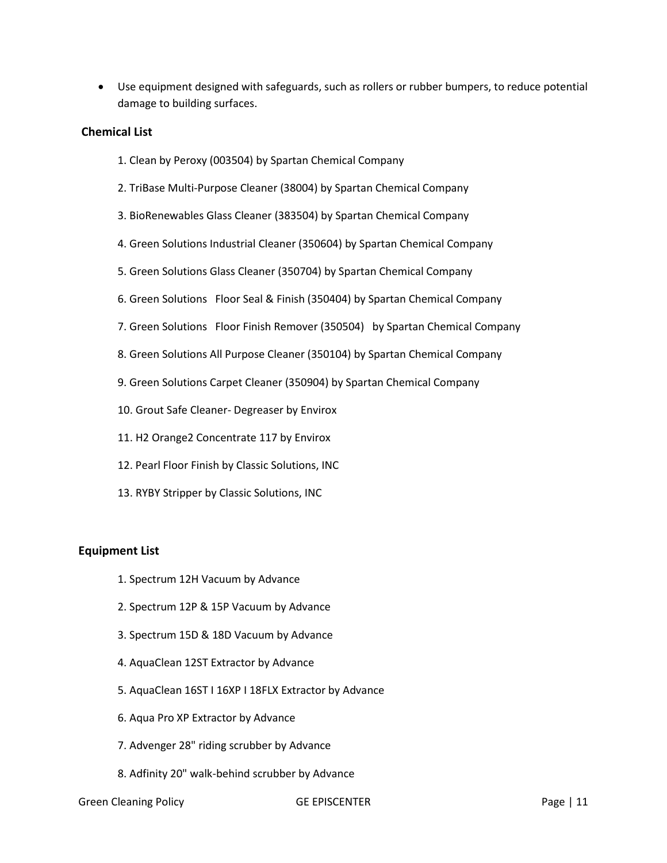Use equipment designed with safeguards, such as rollers or rubber bumpers, to reduce potential damage to building surfaces.

#### **Chemical List**

- 1. Clean by Peroxy (003504) by Spartan Chemical Company
- 2. TriBase Multi-Purpose Cleaner (38004) by Spartan Chemical Company
- 3. BioRenewables Glass Cleaner (383504) by Spartan Chemical Company
- 4. Green Solutions Industrial Cleaner (350604) by Spartan Chemical Company
- 5. Green Solutions Glass Cleaner (350704) by Spartan Chemical Company
- 6. Green Solutions Floor Seal & Finish (350404) by Spartan Chemical Company
- 7. Green Solutions Floor Finish Remover (350504) by Spartan Chemical Company
- 8. Green Solutions All Purpose Cleaner (350104) by Spartan Chemical Company
- 9. Green Solutions Carpet Cleaner (350904) by Spartan Chemical Company
- 10. Grout Safe Cleaner- Degreaser by Envirox
- 11. H2 Orange2 Concentrate 117 by Envirox
- 12. Pearl Floor Finish by Classic Solutions, INC
- 13. RYBY Stripper by Classic Solutions, INC

#### **Equipment List**

- 1. Spectrum 12H Vacuum by Advance
- 2. Spectrum 12P & 15P Vacuum by Advance
- 3. Spectrum 15D & 18D Vacuum by Advance
- 4. AquaClean 12ST Extractor by Advance
- 5. AquaClean 16ST I 16XP I 18FLX Extractor by Advance
- 6. Aqua Pro XP Extractor by Advance
- 7. Advenger 28" riding scrubber by Advance
- 8. Adfinity 20" walk-behind scrubber by Advance